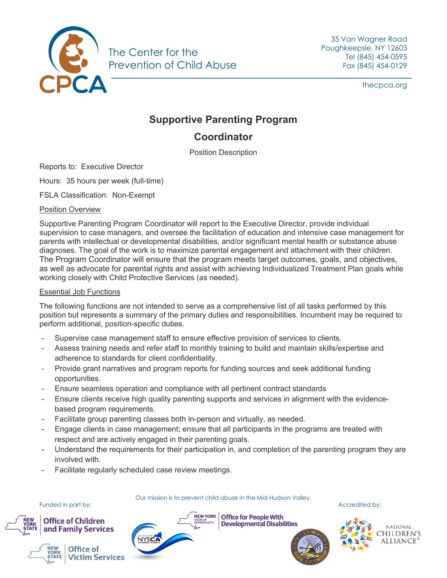

35 Van Wagner Road Poughkeepsie, NY 12603 Tel (845) 454-0595 Fax (845) 454-0129

thecpca.org

# **Supportive Parenting Program**

## **Coordinator**

Position Description

Reports to: Executive Director

Hours: 35 hours per week (full-time)

FSLA Classification: Non-Exempt

#### Position Overview

Supportive Parenting Program Coordinator will report to the Executive Director, provide individual supervision to case managers, and oversee the facilitation of education and intensive case management for parents with intellectual or developmental disabilities, and/or significant mental health or substance abuse diagnoses. The goal of the work is to maximize parental engagement and attachment with their children. The Program Coordinator will ensure that the program meets target outcomes, goals, and objectives, as well as advocate for parental rights and assist with achieving Individualized Treatment Plan goals while working closely with Child Protective Services (as needed).

#### Essential Job Functions

The following functions are not intended to serve as a comprehensive list of all tasks performed by this position but represents a summary of the primary duties and responsibilities. Incumbent may be required to perform additional, position-specific duties.

- Supervise case management staff to ensure effective provision of services to clients.
- Assess training needs and refer staff to monthly training to build and maintain skills/expertise and adherence to standards for client confidentiality.
- Provide grant narratives and program reports for funding sources and seek additional funding opportunities.
- Ensure seamless operation and compliance with all pertinent contract standards
- Ensure clients receive high quality parenting supports and services in alignment with the evidencebased program requirements.
- Facilitate group parenting classes both in-person and virtually, as needed.
- Engage clients in case management; ensure that all participants in the programs are treated with respect and are actively engaged in their parenting goals.
- Understand the requirements for their participation in, and completion of the parenting program they are involved with.
- Facilitate regularly scheduled case review meetings.

Our mission is to prevent child abuse in the Mid-Hudson Valley.



Funded in part by: Accredited by: Accredited by: Accredited by: Accredited by:

**Office of Children** and Family Services







 $\frac{1}{N_{\text{S}}}\sum_{\text{SFR OF}}$  Office for People With **Developmental Disabilities**